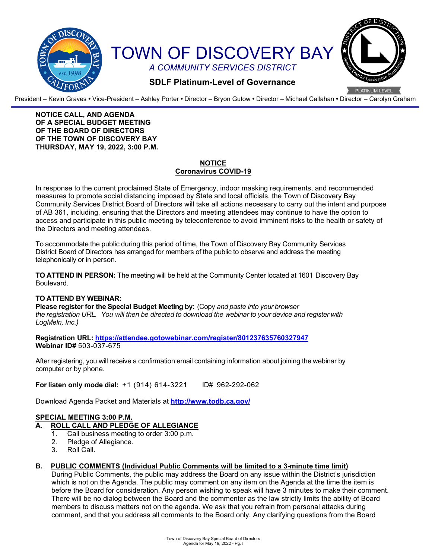

President – Kevin Graves **•** Vice-President – Ashley Porter **•** Director – Bryon Gutow **•** Director – Michael Callahan **•** Director – Carolyn Graham

#### **NOTICE CALL, AND AGENDA OF A SPECIAL BUDGET MEETING OF THE BOARD OF DIRECTORS OF THE TOWN OF DISCOVERY BAY THURSDAY, MAY 19, 2022, 3:00 P.M.**

### **NOTICE Coronavirus COVID-19**

In response to the current proclaimed State of Emergency, indoor masking requirements, and recommended measures to promote social distancing imposed by State and local officials, the Town of Discovery Bay Community Services District Board of Directors will take all actions necessary to carry out the intent and purpose of AB 361, including, ensuring that the Directors and meeting attendees may continue to have the option to access and participate in this public meeting by teleconference to avoid imminent risks to the health or safety of the Directors and meeting attendees.

To accommodate the public during this period of time, the Town of Discovery Bay Community Services District Board of Directors has arranged for members of the public to observe and address the meeting telephonically or in person.

**TO ATTEND IN PERSON:** The meeting will be held at the Community Center located at 1601 Discovery Bay Boulevard.

# **TO ATTEND BY WEBINAR:**

**Please register for the Special Budget Meeting by:** (Copy *and paste into your browser the registration URL. You will then be directed to download the webinar to your device and register with LogMeln, Inc.)*

**Registration URL: <https://attendee.gotowebinar.com/register/801237635760327947> Webinar ID#** 503-037-675

After registering, you will receive a confirmation email containing information about joining the webinar by computer or by phone.

**For listen only mode dial:** +1 (914) 614-3221 ID# 962-292-062

Download Agenda Packet and Materials at **http:/[/www.todb.ca.gov/](http://www.todb.ca.gov/)**

# **SPECIAL MEETING 3:00 P.M.**

# **A. ROLL CALL AND PLEDGE OF ALLEGIANCE**

- 1. Call business meeting to order 3:00 p.m.
- 2. Pledge of Allegiance.<br>3. Roll Call.
- Roll Call.

# **B. PUBLIC COMMENTS (Individual Public Comments will be limited to a 3-minute time limit)**

During Public Comments, the public may address the Board on any issue within the District's jurisdiction which is not on the Agenda. The public may comment on any item on the Agenda at the time the item is before the Board for consideration. Any person wishing to speak will have 3 minutes to make their comment. There will be no dialog between the Board and the commenter as the law strictly limits the ability of Board members to discuss matters not on the agenda. We ask that you refrain from personal attacks during comment, and that you address all comments to the Board only. Any clarifying questions from the Board